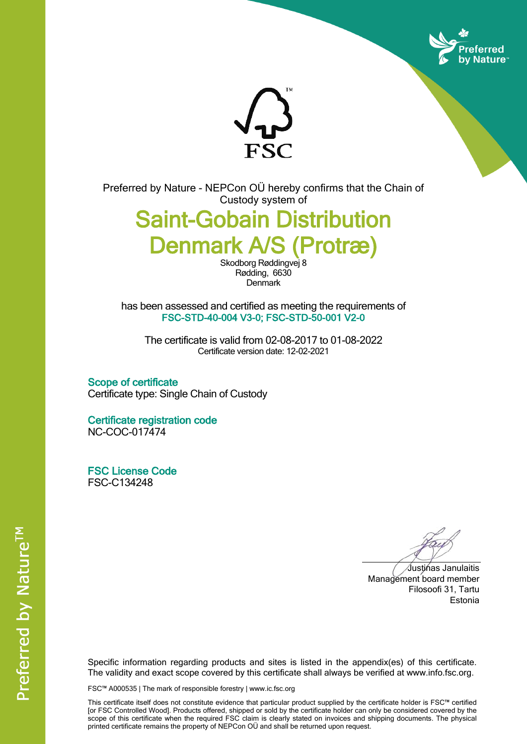



Preferred by Nature - NEPCon OÜ hereby confirms that the Chain of Custody system of

## **Saint-Gobain Distribution Denmark A/S (Protræ)**

Skodborg Røddingvej 8 Rødding, 6630 **Denmark** 

has been assessed and certified as meeting the requirements of **FSC-STD-40-004 V3-0; FSC-STD-50-001 V2-0**

The certificate is valid from 02-08-2017 to 01-08-2022 Certificate version date: 12-02-2021

**Scope of certificate** Certificate type: Single Chain of Custody

**Certificate registration code** NC-COC-017474

**FSC License Code** FSC-C134248

Justinas Janulaitis Management board member Filosoofi 31, Tartu Estonia

Specific information regarding products and sites is listed in the appendix(es) of this certificate. The validity and exact scope covered by this certificate shall always be verified at www.info.fsc.org.

FSC™ A000535 | The mark of responsible forestry | www.ic.fsc.org

This certificate itself does not constitute evidence that particular product supplied by the certificate holder is FSC™ certified [or FSC Controlled Wood]. Products offered, shipped or sold by the certificate holder can only be considered covered by the scope of this certificate when the required FSC claim is clearly stated on invoices and shipping documents. The physical printed certificate remains the property of NEPCon OÜ and shall be returned upon request.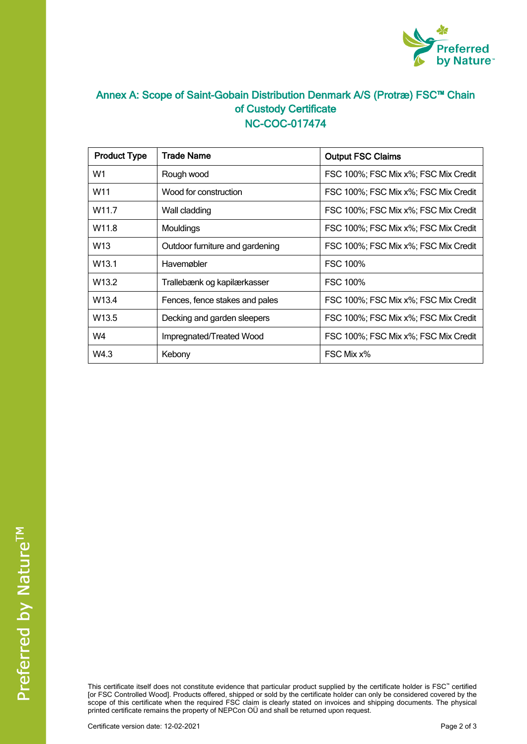

## **Annex A: Scope of Saint-Gobain Distribution Denmark A/S (Protræ) FSC™ Chain of Custody Certificate NC-COC-017474**

| <b>Product Type</b> | <b>Trade Name</b>               | <b>Output FSC Claims</b>             |  |
|---------------------|---------------------------------|--------------------------------------|--|
| W1                  | Rough wood                      | FSC 100%; FSC Mix x%; FSC Mix Credit |  |
| W <sub>11</sub>     | Wood for construction           | FSC 100%; FSC Mix x%; FSC Mix Credit |  |
| W11.7               | Wall cladding                   | FSC 100%; FSC Mix x%; FSC Mix Credit |  |
| W <sub>11.8</sub>   | Mouldings                       | FSC 100%; FSC Mix x%; FSC Mix Credit |  |
| W <sub>13</sub>     | Outdoor furniture and gardening | FSC 100%; FSC Mix x%; FSC Mix Credit |  |
| W <sub>13.1</sub>   | Havemøbler                      | <b>FSC 100%</b>                      |  |
| W <sub>13.2</sub>   | Trallebænk og kapilærkasser     | <b>FSC 100%</b>                      |  |
| W <sub>13.4</sub>   | Fences, fence stakes and pales  | FSC 100%; FSC Mix x%; FSC Mix Credit |  |
| W <sub>13.5</sub>   | Decking and garden sleepers     | FSC 100%; FSC Mix x%; FSC Mix Credit |  |
| W4                  | Impregnated/Treated Wood        | FSC 100%; FSC Mix x%; FSC Mix Credit |  |
| W4.3                | Kebony                          | FSC Mix x%                           |  |

This certificate itself does not constitute evidence that particular product supplied by the certificate holder is FSC™ certified [or FSC Controlled Wood]. Products offered, shipped or sold by the certificate holder can only be considered covered by the scope of this certificate when the required FSC claim is clearly stated on invoices and shipping documents. The physical printed certificate remains the property of NEPCon OÜ and shall be returned upon request.